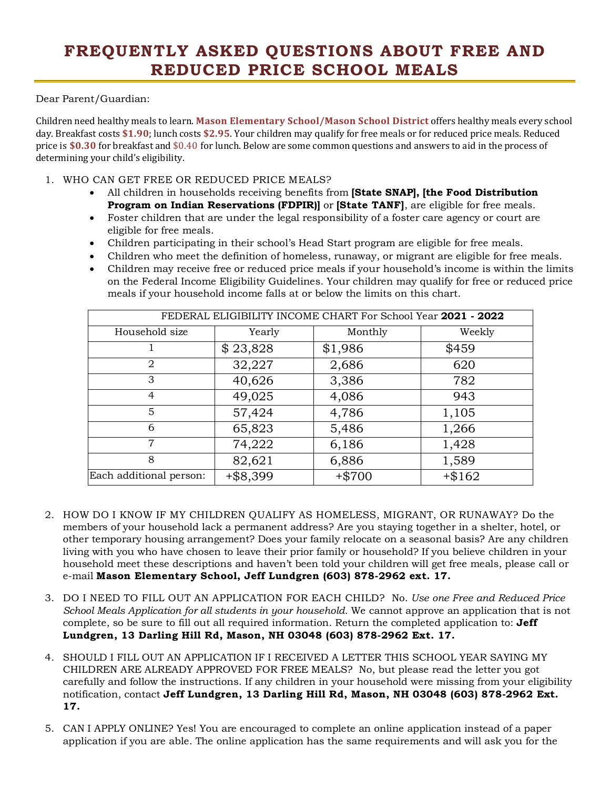## **FREQUENTLY ASKED QUESTIONS ABOUT FREE AND REDUCED PRICE SCHOOL MEALS**

Dear Parent/Guardian:

Children need healthy meals to learn. **Mason Elementary School/Mason School District** offers healthy meals every school day. Breakfast costs **\$1.90**; lunch costs **\$2.95**. Your children may qualify for free meals or for reduced price meals. Reduced price is **\$0.30** for breakfast and \$0.40 for lunch. Below are some common questions and answers to aid in the process of determining your child's eligibility.

1. WHO CAN GET FREE OR REDUCED PRICE MEALS?

- · All children in households receiving benefits from **[State SNAP], [the Food Distribution Program on Indian Reservations (FDPIR)]** or **[State TANF]**, are eligible for free meals.
- · Foster children that are under the legal responsibility of a foster care agency or court are eligible for free meals.
- · Children participating in their school's Head Start program are eligible for free meals.
- · Children who meet the definition of homeless, runaway, or migrant are eligible for free meals.
- · Children may receive free or reduced price meals if your household's income is within the limits on the Federal Income Eligibility Guidelines. Your children may qualify for free or reduced price meals if your household income falls at or below the limits on this chart.

| FEDERAL ELIGIBILITY INCOME CHART For School Year 2021 - 2022 |             |          |          |
|--------------------------------------------------------------|-------------|----------|----------|
| Household size                                               | Yearly      | Monthly  | Weekly   |
|                                                              | \$23,828    | \$1,986  | \$459    |
| $\overline{2}$                                               | 32,227      | 2,686    | 620      |
| 3                                                            | 40,626      | 3,386    | 782      |
| $\overline{4}$                                               | 49,025      | 4,086    | 943      |
| 5                                                            | 57,424      | 4,786    | 1,105    |
| 6                                                            | 65,823      | 5,486    | 1,266    |
| 7                                                            | 74,222      | 6,186    | 1,428    |
| 8                                                            | 82,621      | 6,886    | 1,589    |
| Each additional person:                                      | $+$ \$8,399 | $+ $700$ | $+ $162$ |

- 2. HOW DO I KNOW IF MY CHILDREN QUALIFY AS HOMELESS, MIGRANT, OR RUNAWAY? Do the members of your household lack a permanent address? Are you staying together in a shelter, hotel, or other temporary housing arrangement? Does your family relocate on a seasonal basis? Are any children living with you who have chosen to leave their prior family or household? If you believe children in your household meet these descriptions and haven't been told your children will get free meals, please call or e-mail **Mason Elementary School, Jeff Lundgren (603) 878-2962 ext. 17.**
- 3. DO I NEED TO FILL OUT AN APPLICATION FOR EACH CHILD? No. *Use one Free and Reduced Price School Meals Application for all students in your household.* We cannot approve an application that is not complete, so be sure to fill out all required information. Return the completed application to: **Jeff Lundgren, 13 Darling Hill Rd, Mason, NH 03048 (603) 878-2962 Ext. 17.**
- 4. SHOULD I FILL OUT AN APPLICATION IF I RECEIVED A LETTER THIS SCHOOL YEAR SAYING MY CHILDREN ARE ALREADY APPROVED FOR FREE MEALS? No, but please read the letter you got carefully and follow the instructions. If any children in your household were missing from your eligibility notification, contact **Jeff Lundgren, 13 Darling Hill Rd, Mason, NH 03048 (603) 878-2962 Ext. 17.**
- 5. CAN I APPLY ONLINE? Yes! You are encouraged to complete an online application instead of a paper application if you are able. The online application has the same requirements and will ask you for the